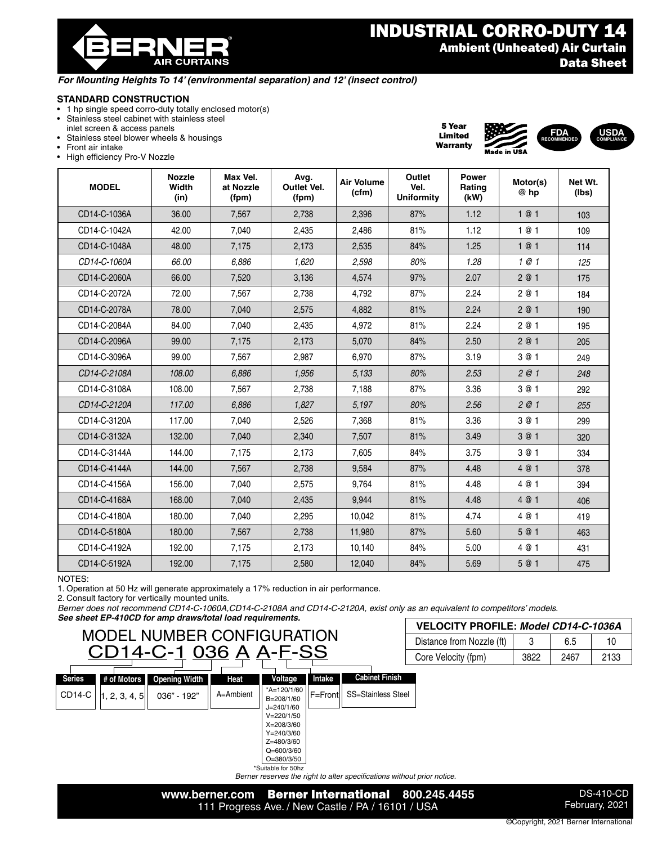® **AIR CURTAINS** 

### INDUSTRIAL CORRO-DUTY 14 Ambient (Unheated) Air Curtain Data Sheet

5 Year Limited Warranty

**FDA RECOMMENDED**

**USDA COMPLIANCE**

#### *For Mounting Heights To 14' (environmental separation) and 12' (insect control)*

### **STANDARD CONSTRUCTION**

- 1 hp single speed corro-duty totally enclosed motor(s)
- Stainless steel cabinet with stainless steel
- inlet screen & access panels • Stainless steel blower wheels & housings
- 
- Front air intake
- High efficiency Pro-V Nozzle

| <b>MODEL</b> | <b>Nozzle</b><br>Width<br>(in) | Max Vel.<br>at Nozzle<br>(fpm) | Avg.<br>Outlet Vel.<br>(fpm) | <b>Air Volume</b><br>(cfm) | Outlet<br>Vel.<br><b>Uniformity</b> | Power<br>Rating<br>(kW) | Motor(s)<br>@ hp | Net Wt.<br>(lbs) |
|--------------|--------------------------------|--------------------------------|------------------------------|----------------------------|-------------------------------------|-------------------------|------------------|------------------|
| CD14-C-1036A | 36.00                          | 7,567                          | 2,738                        | 2,396                      | 87%                                 | 1.12                    | 1@1              | 103              |
| CD14-C-1042A | 42.00                          | 7,040                          | 2,435                        | 2,486                      | 81%                                 | 1.12                    | 1@1              | 109              |
| CD14-C-1048A | 48.00                          | 7,175                          | 2,173                        | 2,535                      | 84%                                 | 1.25                    | 1@1              | 114              |
| CD14-C-1060A | 66.00                          | 6,886                          | 1,620                        | 2,598                      | 80%                                 | 1.28                    | 1@1              | 125              |
| CD14-C-2060A | 66.00                          | 7,520                          | 3,136                        | 4,574                      | 97%                                 | 2.07                    | 2@1              | 175              |
| CD14-C-2072A | 72.00                          | 7,567                          | 2,738                        | 4,792                      | 87%                                 | 2.24                    | 2 @ 1            | 184              |
| CD14-C-2078A | 78.00                          | 7,040                          | 2,575                        | 4.882                      | 81%                                 | 2.24                    | 2@1              | 190              |
| CD14-C-2084A | 84.00                          | 7,040                          | 2,435                        | 4,972                      | 81%                                 | 2.24                    | 2 @ 1            | 195              |
| CD14-C-2096A | 99.00                          | 7,175                          | 2,173                        | 5,070                      | 84%                                 | 2.50                    | 2@1              | 205              |
| CD14-C-3096A | 99.00                          | 7,567                          | 2,987                        | 6,970                      | 87%                                 | 3.19                    | 3 @ 1            | 249              |
| CD14-C-2108A | 108.00                         | 6,886                          | 1,956                        | 5,133                      | 80%                                 | 2.53                    | 2@1              | 248              |
| CD14-C-3108A | 108.00                         | 7,567                          | 2,738                        | 7,188                      | 87%                                 | 3.36                    | 3 @ 1            | 292              |
| CD14-C-2120A | 117.00                         | 6,886                          | 1.827                        | 5,197                      | 80%                                 | 2.56                    | 2@1              | 255              |
| CD14-C-3120A | 117.00                         | 7,040                          | 2,526                        | 7,368                      | 81%                                 | 3.36                    | 3 @ 1            | 299              |
| CD14-C-3132A | 132.00                         | 7,040                          | 2,340                        | 7,507                      | 81%                                 | 3.49                    | 3 @ 1            | 320              |
| CD14-C-3144A | 144.00                         | 7,175                          | 2,173                        | 7,605                      | 84%                                 | 3.75                    | 3 @ 1            | 334              |
| CD14-C-4144A | 144.00                         | 7,567                          | 2,738                        | 9,584                      | 87%                                 | 4.48                    | 4 @ 1            | 378              |
| CD14-C-4156A | 156.00                         | 7,040                          | 2,575                        | 9,764                      | 81%                                 | 4.48                    | 4 @ 1            | 394              |
| CD14-C-4168A | 168.00                         | 7,040                          | 2,435                        | 9,944                      | 81%                                 | 4.48                    | 4 @ 1            | 406              |
| CD14-C-4180A | 180.00                         | 7,040                          | 2,295                        | 10,042                     | 81%                                 | 4.74                    | 4 @ 1            | 419              |
| CD14-C-5180A | 180.00                         | 7,567                          | 2,738                        | 11,980                     | 87%                                 | 5.60                    | 5 @ 1            | 463              |
| CD14-C-4192A | 192.00                         | 7,175                          | 2,173                        | 10,140                     | 84%                                 | 5.00                    | 4 @ 1            | 431              |
| CD14-C-5192A | 192.00                         | 7,175                          | 2,580                        | 12,040                     | 84%                                 | 5.69                    | 5 @ 1            | 475              |

NOTES:

1. Operation at 50 Hz will generate approximately a 17% reduction in air performance.

2. Consult factory for vertically mounted units.

*Berner does not recommend CD14-C-1060A,CD14-C-2108A and CD14-C-2120A, exist only as an equivalent to competitors' models.* 

*See sheet EP-410CD for amp draws/total load requirements.*

# MODEL NUMBER CONFIGURATION CD14-C-1 036 A A-F-SS

| VELOCITY PROFILE: Model CD14-C-1036A<br>Distance from Nozzle (ft)<br>6.5<br>10. |      |      |      |  |
|---------------------------------------------------------------------------------|------|------|------|--|
|                                                                                 |      |      |      |  |
| Core Velocity (fpm)                                                             | 3822 | 2467 | 2133 |  |

|                     | --            |                      | ---       |                             | --     |                              | U) |
|---------------------|---------------|----------------------|-----------|-----------------------------|--------|------------------------------|----|
| <b>Series</b>       | # of Motors   | <b>Opening Width</b> | Heat      | Voltage                     | Intake | <b>Cabinet Finish</b>        |    |
| CD <sub>14</sub> -C | 1, 2, 3, 4, 5 | 036" - 192"          | A=Ambient | *A=120/1/60<br>B=208/1/60   |        | F=Frontll SS=Stainless Steel |    |
|                     |               |                      |           | $J = 240/1/60$              |        |                              |    |
|                     |               |                      |           | $V = 220/1/50$              |        |                              |    |
|                     |               |                      |           | $X = 208/3/60$              |        |                              |    |
|                     |               |                      |           | $Y = 240/3/60$              |        |                              |    |
|                     |               |                      |           | Z=480/3/60                  |        |                              |    |
|                     |               |                      |           | $Q = 600/3/60$              |        |                              |    |
|                     |               |                      |           | $O=380/3/50$                |        |                              |    |
|                     |               |                      |           | $*$ Cuitabla far $E$ Oh $=$ |        |                              |    |

\*Suitable for 50hz *Berner reserves the right to alter specifications without prior notice.*



DS-410-CD February, 2021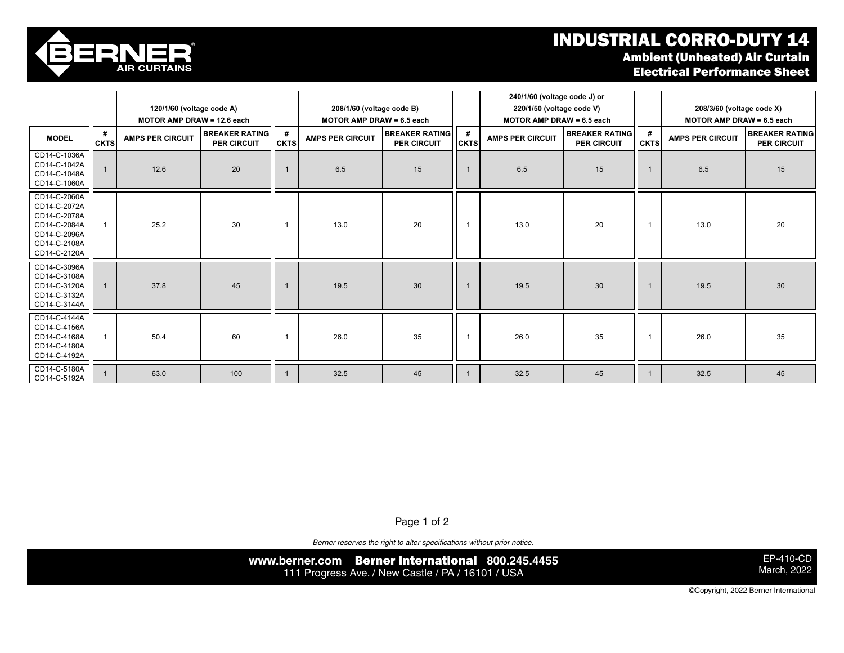## INDUSTRIAL CORRO-DUTY 14 Ambient (Unheated) Air Curtain

Electrical Performance Sheet



CD14-C-2120A

CD14-C-3132A

|                                                                                                              | 120/1/60 (voltage code A)<br>MOTOR AMP DRAW = 12.6 each |                         |                                      | 208/1/60 (voltage code B)<br><b>MOTOR AMP DRAW = 6.5 each</b> |                         |                                             | 240/1/60 (voltage code J) or<br>220/1/50 (voltage code V)<br>MOTOR AMP DRAW = 6.5 each |                         |                                      | 208/3/60 (voltage code X)<br><b>MOTOR AMP DRAW = 6.5 each</b> |                         |                                             |
|--------------------------------------------------------------------------------------------------------------|---------------------------------------------------------|-------------------------|--------------------------------------|---------------------------------------------------------------|-------------------------|---------------------------------------------|----------------------------------------------------------------------------------------|-------------------------|--------------------------------------|---------------------------------------------------------------|-------------------------|---------------------------------------------|
| <b>MODEL</b>                                                                                                 | #<br><b>CKTS</b>                                        | <b>AMPS PER CIRCUIT</b> | <b>BREAKER RATING</b><br>PER CIRCUIT | #<br><b>CKTS</b>                                              | <b>AMPS PER CIRCUIT</b> | <b>BREAKER RATING</b><br><b>PER CIRCUIT</b> | #<br><b>CKTS</b>                                                                       | <b>AMPS PER CIRCUIT</b> | <b>BREAKER RATING</b><br>PER CIRCUIT | $\#$<br><b>CKTS</b>                                           | <b>AMPS PER CIRCUIT</b> | <b>BREAKER RATING</b><br><b>PER CIRCUIT</b> |
| CD14-C-1036A<br>CD14-C-1042A<br>CD14-C-1048A<br>CD14-C-1060A                                                 |                                                         | 12.6                    | 20                                   |                                                               | 6.5                     | 15                                          |                                                                                        | 6.5                     | 15                                   | -1                                                            | 6.5                     | 15                                          |
| CD14-C-2060A<br>CD14-C-2072A<br>CD14-C-2078A<br>CD14-C-2084A<br>CD14-C-2096A<br>CD14-C-2108A<br>CD14-C-2120A |                                                         | 25.2                    | 30                                   |                                                               | 13.0                    | 20                                          |                                                                                        | 13.0                    | 20                                   | -1                                                            | 13.0                    | 20                                          |
| CD14-C-3096A<br>CD14-C-3108A<br>CD14-C-3120A<br>CD14-C-3132A<br>CD14-C-3144A                                 |                                                         | 37.8                    | 45                                   |                                                               | 19.5                    | 30                                          |                                                                                        | 19.5                    | 30                                   |                                                               | 19.5                    | 30                                          |
| CD14-C-4144A<br>CD14-C-4156A<br>CD14-C-4168A<br>CD14-C-4180A<br>CD14-C-4192A                                 |                                                         | 50.4                    | 60                                   |                                                               | 26.0                    | 35                                          |                                                                                        | 26.0                    | 35                                   | $\overline{\mathbf{1}}$                                       | 26.0                    | 35                                          |
| CD14-C-5180A<br>CD14-C-5192A                                                                                 |                                                         | 63.0                    | 100                                  |                                                               | 32.5                    | 45                                          |                                                                                        | 32.5                    | 45                                   |                                                               | 32.5                    | 45                                          |

Page 1 of 2  $\frac{1}{2}$ 

*Berner reserves the right to alter specifications without prior notice.*

**www.berner.com** Berner International **800.245.4455** 111 Progress Ave. / New Castle / PA / 16101 / USA **19.5 and St. And The Contract of Contract Contract Contract Contract Contract Contract Contract Contract Contract Contract Contract Contract Contract Contract Contract Con** 

EP-410-CD March, 2022

©Copyright, 2022 Berner International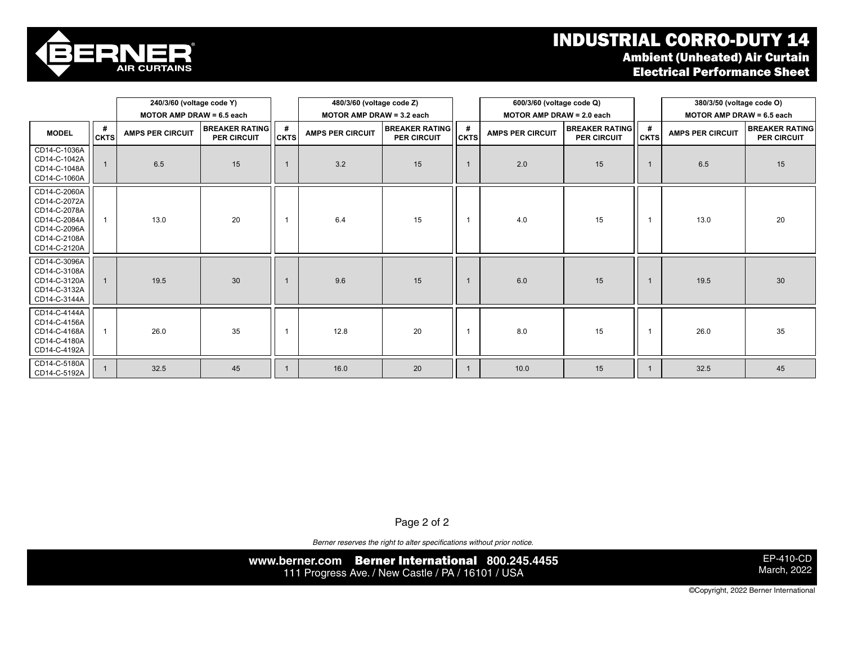### industrial corro-duty is a set of the set of the set of the set of the set of the set of the set of the set of Ambient (Unheated) Air Curtain Electrical Performance Sheet



|                                                                                                              |                  | 240/3/60 (voltage code Y)   |                                      |                           | 480/3/60 (voltage code Z) |                                             |                             | 600/3/60 (voltage code Q) |                                             |                  | 380/3/50 (voltage code O) |                                      |
|--------------------------------------------------------------------------------------------------------------|------------------|-----------------------------|--------------------------------------|---------------------------|---------------------------|---------------------------------------------|-----------------------------|---------------------------|---------------------------------------------|------------------|---------------------------|--------------------------------------|
|                                                                                                              |                  | MOTOR AMP DRAW = $6.5$ each |                                      | MOTOR AMP DRAW = 3.2 each |                           |                                             | MOTOR AMP DRAW = $2.0$ each |                           | MOTOR AMP DRAW = $6.5$ each                 |                  |                           |                                      |
| <b>MODEL</b>                                                                                                 | #<br><b>CKTS</b> | <b>AMPS PER CIRCUIT</b>     | <b>BREAKER RATING</b><br>PER CIRCUIT | #<br><b>CKTS</b>          | <b>AMPS PER CIRCUIT</b>   | <b>BREAKER RATING</b><br><b>PER CIRCUIT</b> | #<br><b>CKTS</b>            | <b>AMPS PER CIRCUIT</b>   | <b>BREAKER RATING</b><br><b>PER CIRCUIT</b> | #<br><b>CKTS</b> | <b>AMPS PER CIRCUIT</b>   | <b>BREAKER RATING</b><br>PER CIRCUIT |
| CD14-C-1036A<br>CD14-C-1042A<br>CD14-C-1048A<br>CD14-C-1060A                                                 |                  | 6.5                         | 15                                   |                           | 3.2                       | 15                                          |                             | 2.0                       | 15                                          | 1                | 6.5                       | 15                                   |
| CD14-C-2060A<br>CD14-C-2072A<br>CD14-C-2078A<br>CD14-C-2084A<br>CD14-C-2096A<br>CD14-C-2108A<br>CD14-C-2120A |                  | 13.0                        | 20                                   |                           | 6.4                       | 15                                          | $\overline{1}$              | 4.0                       | 15                                          | 1                | 13.0                      | 20                                   |
| CD14-C-3096A<br>CD14-C-3108A<br>CD14-C-3120A<br>CD14-C-3132A<br>CD14-C-3144A                                 |                  | 19.5                        | 30                                   |                           | 9.6                       | 15                                          |                             | 6.0                       | 15                                          |                  | 19.5                      | 30                                   |
| CD14-C-4144A<br>CD14-C-4156A<br>CD14-C-4168A<br>CD14-C-4180A<br>CD14-C-4192A                                 |                  | 26.0                        | 35                                   |                           | 12.8                      | 20                                          | 1                           | 8.0                       | 15                                          | 1                | 26.0                      | 35                                   |
| CD14-C-5180A<br>CD14-C-5192A                                                                                 |                  | 32.5                        | 45                                   |                           | 16.0                      | 20                                          |                             | 10.0                      | 15                                          |                  | 32.5                      | 45                                   |

Page 2 of 2

*Berner reserves the right to alter specifications without prior notice.*

**www.berner.com** Berner International **800.245.4455** 111 Progress Ave. / New Castle / PA / 16101 / USA

EP-410-CD March, 2022

©Copyright, 2022 Berner International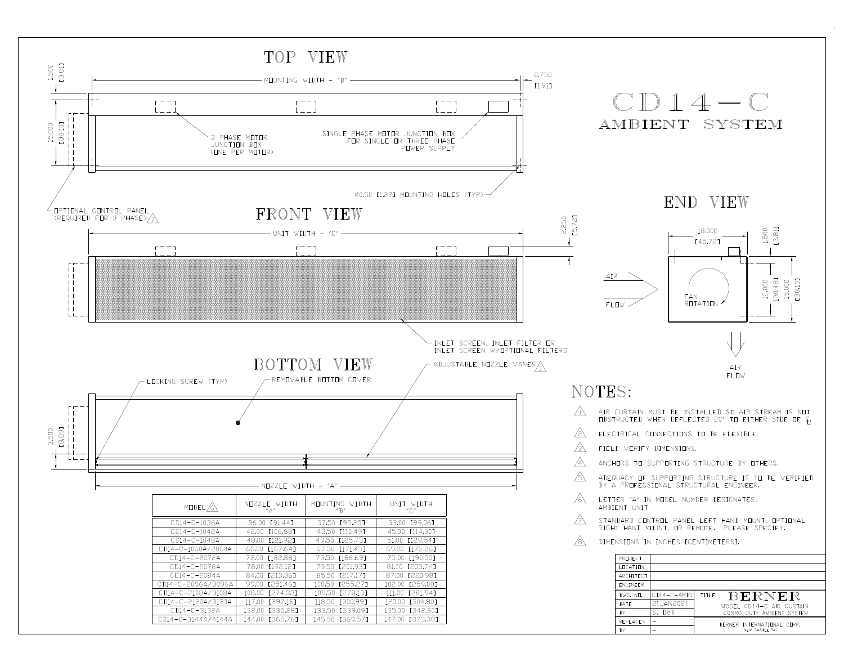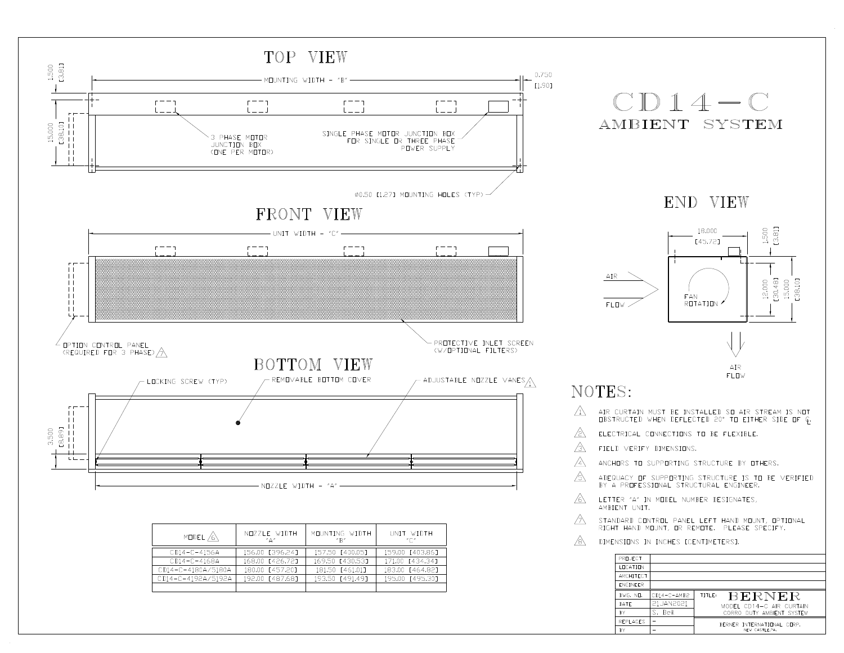

| MODEL $\bigwedge$  | NUZZLE WIDTH<br>$"^{\Delta"}$ | MOUNTING WIDTH<br>$''\mathbb{R}''$ | UNIT WIDTH<br>$" \cap"$ |
|--------------------|-------------------------------|------------------------------------|-------------------------|
| CD14-C-4156A       | 156.00 [396.241               | 157.50 [400.05]                    | 159.00 [403.86]         |
| CD14-C-4168A       | 168.00 [426.721               | 169.50 [430.53]                    | 171.00 [434.34]         |
| CD14-C-4180A/5180A | 180.00 [457.20]               | 181.50 [461.01]                    | 183.00 [464.82]         |
| CD14-C-4192A/5192A | 192.00 [487.68]               | 193.50 [491.49]                    | 195.00 [495.30]         |
|                    |                               |                                    |                         |

| DIMENSIONS IN INCHES ECENTIMETERST. |                   |               |                            |  |  |  |  |
|-------------------------------------|-------------------|---------------|----------------------------|--|--|--|--|
|                                     | PRILIFCT          |               |                            |  |  |  |  |
|                                     | <b>I FICATION</b> |               |                            |  |  |  |  |
|                                     | ARCHITECT         |               |                            |  |  |  |  |
|                                     | <b>FNGINFFR</b>   |               |                            |  |  |  |  |
|                                     | DWG. ND.          | $CD14-C-AMB2$ | <b>BERNER</b><br>TITLE:    |  |  |  |  |
|                                     | DATF              | 21JAN2021     | MODEL CD14-C AIR CURTAIN   |  |  |  |  |
|                                     | <b>BY</b>         | S. Beil       | CORRO DUTY AMBIENT SYSTEM  |  |  |  |  |
|                                     | REPLACES          |               | BERNER INTERNATIONAL CORP. |  |  |  |  |
|                                     | <b>BY</b>         |               | NEW CASTLE, PA.            |  |  |  |  |

⚠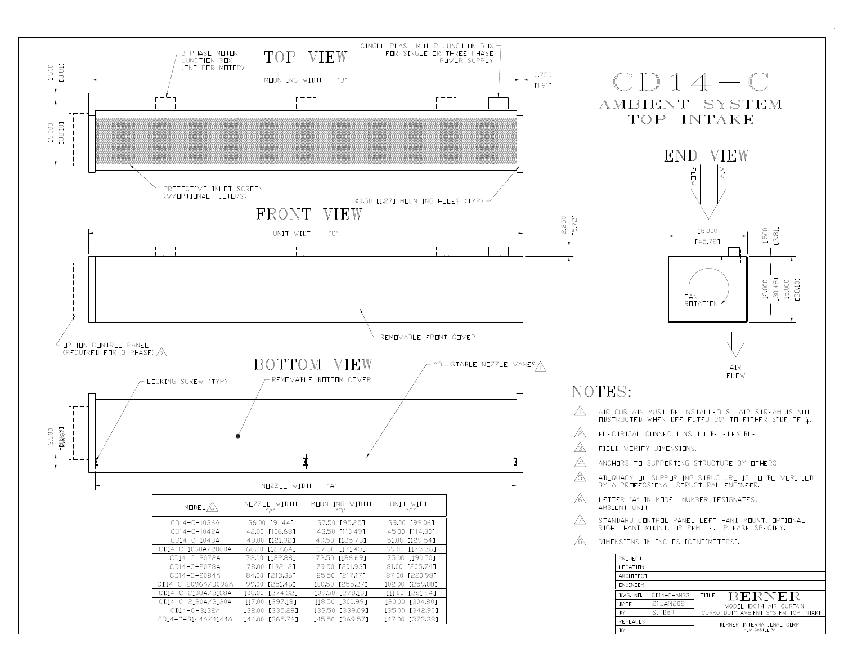